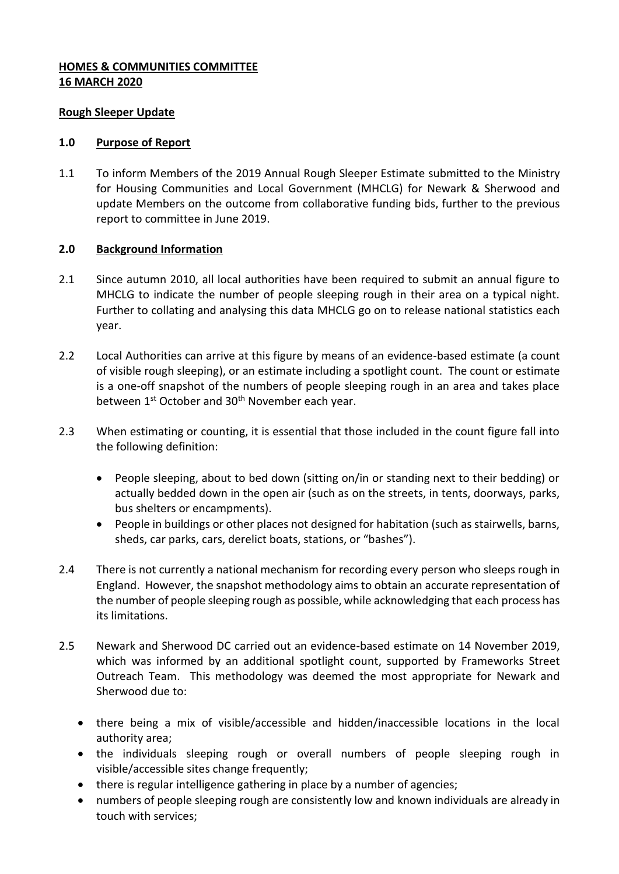# **HOMES & COMMUNITIES COMMITTEE 16 MARCH 2020**

# **Rough Sleeper Update**

## **1.0 Purpose of Report**

1.1 To inform Members of the 2019 Annual Rough Sleeper Estimate submitted to the Ministry for Housing Communities and Local Government (MHCLG) for Newark & Sherwood and update Members on the outcome from collaborative funding bids, further to the previous report to committee in June 2019.

# **2.0 Background Information**

- 2.1 Since autumn 2010, all local authorities have been required to submit an annual figure to MHCLG to indicate the number of people sleeping rough in their area on a typical night. Further to collating and analysing this data MHCLG go on to release national statistics each year.
- 2.2 Local Authorities can arrive at this figure by means of an evidence-based estimate (a count of visible rough sleeping), or an estimate including a spotlight count. The count or estimate is a one-off snapshot of the numbers of people sleeping rough in an area and takes place between 1<sup>st</sup> October and 30<sup>th</sup> November each year.
- 2.3 When estimating or counting, it is essential that those included in the count figure fall into the following definition:
	- People sleeping, about to bed down (sitting on/in or standing next to their bedding) or actually bedded down in the open air (such as on the streets, in tents, doorways, parks, bus shelters or encampments).
	- People in buildings or other places not designed for habitation (such as stairwells, barns, sheds, car parks, cars, derelict boats, stations, or "bashes").
- 2.4 There is not currently a national mechanism for recording every person who sleeps rough in England. However, the snapshot methodology aims to obtain an accurate representation of the number of people sleeping rough as possible, while acknowledging that each process has its limitations.
- 2.5 Newark and Sherwood DC carried out an evidence-based estimate on 14 November 2019, which was informed by an additional spotlight count, supported by Frameworks Street Outreach Team. This methodology was deemed the most appropriate for Newark and Sherwood due to:
	- there being a mix of visible/accessible and hidden/inaccessible locations in the local authority area;
	- the individuals sleeping rough or overall numbers of people sleeping rough in visible/accessible sites change frequently;
	- there is regular intelligence gathering in place by a number of agencies;
	- numbers of people sleeping rough are consistently low and known individuals are already in touch with services;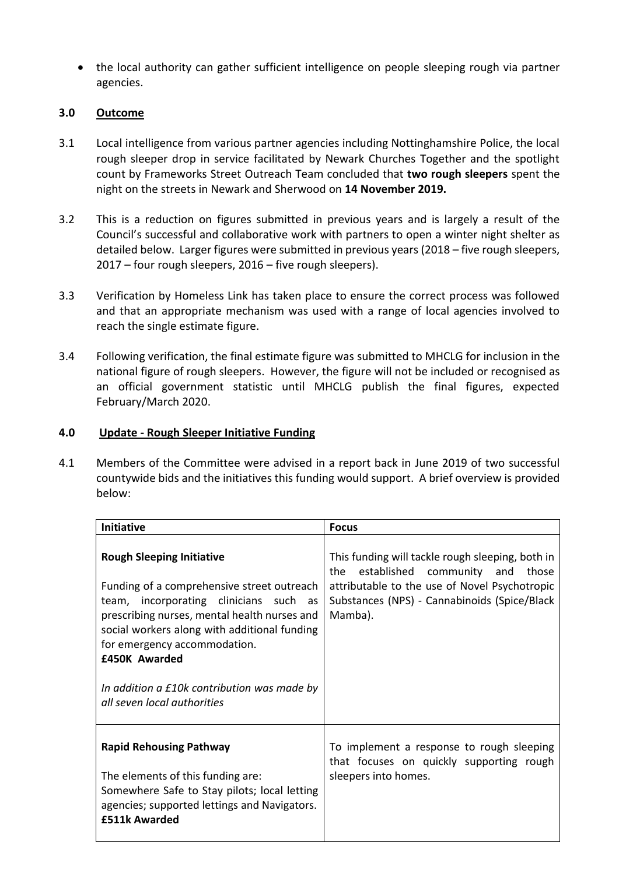• the local authority can gather sufficient intelligence on people sleeping rough via partner agencies.

# **3.0 Outcome**

- 3.1 Local intelligence from various partner agencies including Nottinghamshire Police, the local rough sleeper drop in service facilitated by Newark Churches Together and the spotlight count by Frameworks Street Outreach Team concluded that **two rough sleepers** spent the night on the streets in Newark and Sherwood on **14 November 2019.**
- 3.2 This is a reduction on figures submitted in previous years and is largely a result of the Council's successful and collaborative work with partners to open a winter night shelter as detailed below. Larger figures were submitted in previous years (2018 – five rough sleepers, 2017 – four rough sleepers, 2016 – five rough sleepers).
- 3.3 Verification by Homeless Link has taken place to ensure the correct process was followed and that an appropriate mechanism was used with a range of local agencies involved to reach the single estimate figure.
- 3.4 Following verification, the final estimate figure was submitted to MHCLG for inclusion in the national figure of rough sleepers. However, the figure will not be included or recognised as an official government statistic until MHCLG publish the final figures, expected February/March 2020.

## **4.0 Update - Rough Sleeper Initiative Funding**

4.1 Members of the Committee were advised in a report back in June 2019 of two successful countywide bids and the initiatives this funding would support. A brief overview is provided below:

| <b>Initiative</b>                                                                                                                                                                                                                                                                                                                                              | <b>Focus</b>                                                                                                                                                                                           |
|----------------------------------------------------------------------------------------------------------------------------------------------------------------------------------------------------------------------------------------------------------------------------------------------------------------------------------------------------------------|--------------------------------------------------------------------------------------------------------------------------------------------------------------------------------------------------------|
| <b>Rough Sleeping Initiative</b><br>Funding of a comprehensive street outreach<br>team, incorporating clinicians such as<br>prescribing nurses, mental health nurses and<br>social workers along with additional funding<br>for emergency accommodation.<br><b>£450K Awarded</b><br>In addition a £10k contribution was made by<br>all seven local authorities | This funding will tackle rough sleeping, both in<br>established community and those<br>the<br>attributable to the use of Novel Psychotropic<br>Substances (NPS) - Cannabinoids (Spice/Black<br>Mamba). |
| <b>Rapid Rehousing Pathway</b><br>The elements of this funding are:<br>Somewhere Safe to Stay pilots; local letting<br>agencies; supported lettings and Navigators.<br><b>£511k Awarded</b>                                                                                                                                                                    | To implement a response to rough sleeping<br>that focuses on quickly supporting rough<br>sleepers into homes.                                                                                          |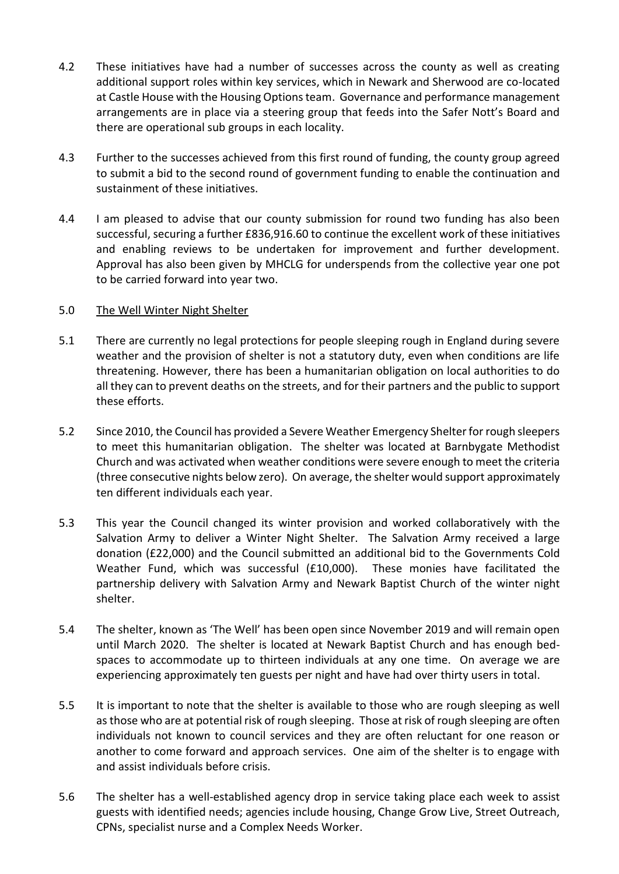- 4.2 These initiatives have had a number of successes across the county as well as creating additional support roles within key services, which in Newark and Sherwood are co-located at Castle House with the Housing Options team. Governance and performance management arrangements are in place via a steering group that feeds into the Safer Nott's Board and there are operational sub groups in each locality.
- 4.3 Further to the successes achieved from this first round of funding, the county group agreed to submit a bid to the second round of government funding to enable the continuation and sustainment of these initiatives.
- 4.4 I am pleased to advise that our county submission for round two funding has also been successful, securing a further £836,916.60 to continue the excellent work of these initiatives and enabling reviews to be undertaken for improvement and further development. Approval has also been given by MHCLG for underspends from the collective year one pot to be carried forward into year two.

#### 5.0 The Well Winter Night Shelter

- 5.1 There are currently no legal protections for people sleeping rough in England during severe weather and the provision of shelter is not a statutory duty, even when conditions are life threatening. However, there has been a humanitarian obligation on local authorities to do all they can to prevent deaths on the streets, and for their partners and the public to support these efforts.
- 5.2 Since 2010, the Council has provided a Severe Weather Emergency Shelter for rough sleepers to meet this humanitarian obligation. The shelter was located at Barnbygate Methodist Church and was activated when weather conditions were severe enough to meet the criteria (three consecutive nights below zero). On average, the shelter would support approximately ten different individuals each year.
- 5.3 This year the Council changed its winter provision and worked collaboratively with the Salvation Army to deliver a Winter Night Shelter. The Salvation Army received a large donation (£22,000) and the Council submitted an additional bid to the Governments Cold Weather Fund, which was successful (£10,000). These monies have facilitated the partnership delivery with Salvation Army and Newark Baptist Church of the winter night shelter.
- 5.4 The shelter, known as 'The Well' has been open since November 2019 and will remain open until March 2020. The shelter is located at Newark Baptist Church and has enough bedspaces to accommodate up to thirteen individuals at any one time. On average we are experiencing approximately ten guests per night and have had over thirty users in total.
- 5.5 It is important to note that the shelter is available to those who are rough sleeping as well as those who are at potential risk of rough sleeping. Those at risk of rough sleeping are often individuals not known to council services and they are often reluctant for one reason or another to come forward and approach services. One aim of the shelter is to engage with and assist individuals before crisis.
- 5.6 The shelter has a well-established agency drop in service taking place each week to assist guests with identified needs; agencies include housing, Change Grow Live, Street Outreach, CPNs, specialist nurse and a Complex Needs Worker.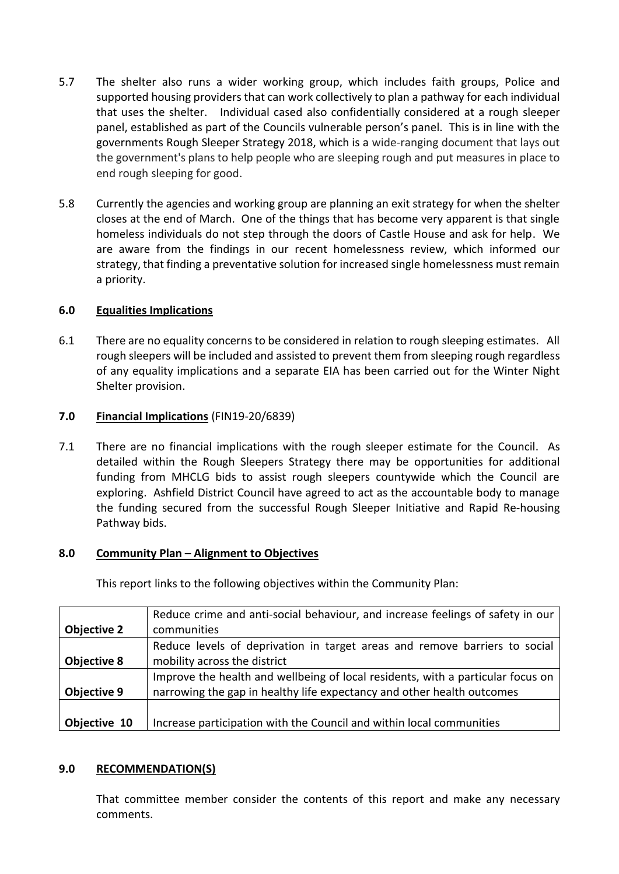- 5.7 The shelter also runs a wider working group, which includes faith groups, Police and supported housing providers that can work collectively to plan a pathway for each individual that uses the shelter. Individual cased also confidentially considered at a rough sleeper panel, established as part of the Councils vulnerable person's panel. This is in line with the governments Rough Sleeper Strategy 2018, which is a wide-ranging document that lays out the government's plans to help people who are sleeping rough and put measures in place to end rough sleeping for good.
- 5.8 Currently the agencies and working group are planning an exit strategy for when the shelter closes at the end of March. One of the things that has become very apparent is that single homeless individuals do not step through the doors of Castle House and ask for help. We are aware from the findings in our recent homelessness review, which informed our strategy, that finding a preventative solution for increased single homelessness must remain a priority.

# **6.0 Equalities Implications**

6.1 There are no equality concerns to be considered in relation to rough sleeping estimates. All rough sleepers will be included and assisted to prevent them from sleeping rough regardless of any equality implications and a separate EIA has been carried out for the Winter Night Shelter provision.

# **7.0 Financial Implications** (FIN19-20/6839)

7.1 There are no financial implications with the rough sleeper estimate for the Council. As detailed within the Rough Sleepers Strategy there may be opportunities for additional funding from MHCLG bids to assist rough sleepers countywide which the Council are exploring. Ashfield District Council have agreed to act as the accountable body to manage the funding secured from the successful Rough Sleeper Initiative and Rapid Re-housing Pathway bids.

#### **8.0 Community Plan – Alignment to Objectives**

This report links to the following objectives within the Community Plan:

|                    | Reduce crime and anti-social behaviour, and increase feelings of safety in our  |
|--------------------|---------------------------------------------------------------------------------|
| <b>Objective 2</b> | communities                                                                     |
|                    | Reduce levels of deprivation in target areas and remove barriers to social      |
| <b>Objective 8</b> | mobility across the district                                                    |
|                    | Improve the health and wellbeing of local residents, with a particular focus on |
| Objective 9        | narrowing the gap in healthy life expectancy and other health outcomes          |
|                    |                                                                                 |
| Objective 10       | Increase participation with the Council and within local communities            |

#### **9.0 RECOMMENDATION(S)**

That committee member consider the contents of this report and make any necessary comments.